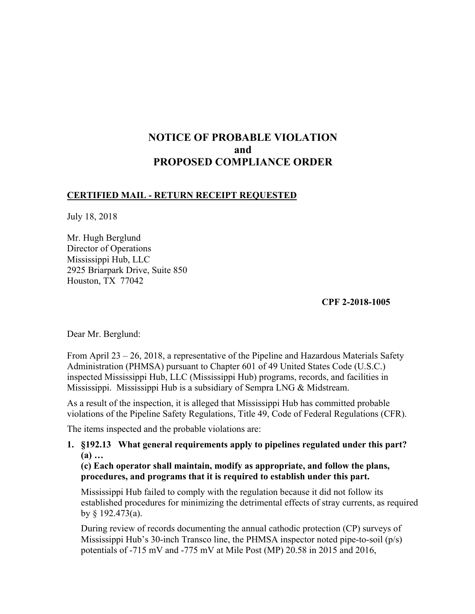# **NOTICE OF PROBABLE VIOLATION and PROPOSED COMPLIANCE ORDER**

## **CERTIFIED MAIL - RETURN RECEIPT REQUESTED**

July 18, 2018

Mr. Hugh Berglund Director of Operations Mississippi Hub, LLC 2925 Briarpark Drive, Suite 850 Houston, TX 77042

## **CPF 2-2018-1005**

Dear Mr. Berglund:

From April 23 – 26, 2018, a representative of the Pipeline and Hazardous Materials Safety Administration (PHMSA) pursuant to Chapter 601 of 49 United States Code (U.S.C.) inspected Mississippi Hub, LLC (Mississippi Hub) programs, records, and facilities in Mississippi. Mississippi Hub is a subsidiary of Sempra LNG & Midstream.

As a result of the inspection, it is alleged that Mississippi Hub has committed probable violations of the Pipeline Safety Regulations, Title 49, Code of Federal Regulations (CFR).

The items inspected and the probable violations are:

## **1. §192.13 What general requirements apply to pipelines regulated under this part? (a) …**

**(c) Each operator shall maintain, modify as appropriate, and follow the plans, procedures, and programs that it is required to establish under this part.** 

Mississippi Hub failed to comply with the regulation because it did not follow its established procedures for minimizing the detrimental effects of stray currents, as required by § 192.473(a).

During review of records documenting the annual cathodic protection (CP) surveys of Mississippi Hub's 30-inch Transco line, the PHMSA inspector noted pipe-to-soil (p/s) potentials of -715 mV and -775 mV at Mile Post (MP) 20.58 in 2015 and 2016,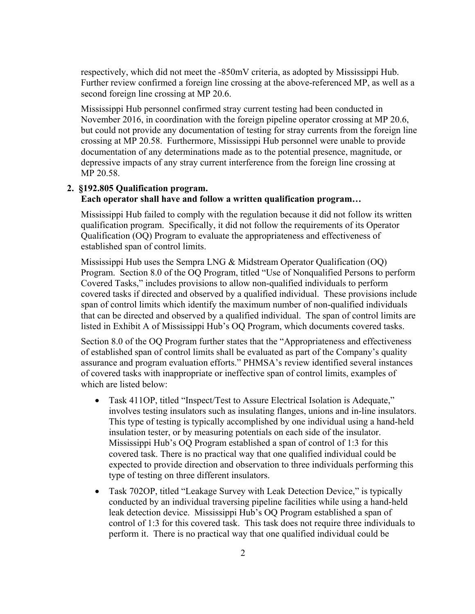respectively, which did not meet the -850mV criteria, as adopted by Mississippi Hub. Further review confirmed a foreign line crossing at the above-referenced MP, as well as a second foreign line crossing at MP 20.6.

Mississippi Hub personnel confirmed stray current testing had been conducted in November 2016, in coordination with the foreign pipeline operator crossing at MP 20.6, but could not provide any documentation of testing for stray currents from the foreign line crossing at MP 20.58. Furthermore, Mississippi Hub personnel were unable to provide documentation of any determinations made as to the potential presence, magnitude, or depressive impacts of any stray current interference from the foreign line crossing at MP 20.58.

## **2. §192.805 Qualification program. Each operator shall have and follow a written qualification program…**

Mississippi Hub failed to comply with the regulation because it did not follow its written qualification program. Specifically, it did not follow the requirements of its Operator Qualification (OQ) Program to evaluate the appropriateness and effectiveness of established span of control limits.

Mississippi Hub uses the Sempra LNG & Midstream Operator Qualification (OQ) Program. Section 8.0 of the OQ Program, titled "Use of Nonqualified Persons to perform Covered Tasks," includes provisions to allow non-qualified individuals to perform covered tasks if directed and observed by a qualified individual. These provisions include span of control limits which identify the maximum number of non-qualified individuals that can be directed and observed by a qualified individual. The span of control limits are listed in Exhibit A of Mississippi Hub's OQ Program, which documents covered tasks.

Section 8.0 of the OQ Program further states that the "Appropriateness and effectiveness of established span of control limits shall be evaluated as part of the Company's quality assurance and program evaluation efforts." PHMSA's review identified several instances of covered tasks with inappropriate or ineffective span of control limits, examples of which are listed below:

- Task 411OP, titled "Inspect/Test to Assure Electrical Isolation is Adequate," involves testing insulators such as insulating flanges, unions and in-line insulators. This type of testing is typically accomplished by one individual using a hand-held insulation tester, or by measuring potentials on each side of the insulator. Mississippi Hub's OQ Program established a span of control of 1:3 for this covered task. There is no practical way that one qualified individual could be expected to provide direction and observation to three individuals performing this type of testing on three different insulators.
- Task 702OP, titled "Leakage Survey with Leak Detection Device," is typically conducted by an individual traversing pipeline facilities while using a hand-held leak detection device. Mississippi Hub's OQ Program established a span of control of 1:3 for this covered task. This task does not require three individuals to perform it. There is no practical way that one qualified individual could be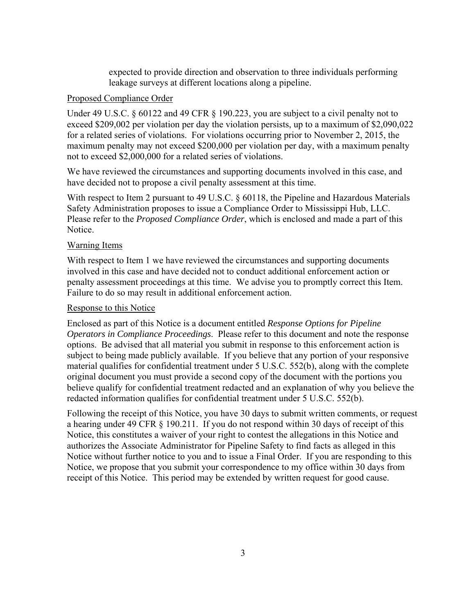expected to provide direction and observation to three individuals performing leakage surveys at different locations along a pipeline.

## Proposed Compliance Order

Under 49 U.S.C. § 60122 and 49 CFR § 190.223, you are subject to a civil penalty not to exceed \$209,002 per violation per day the violation persists, up to a maximum of \$2,090,022 for a related series of violations. For violations occurring prior to November 2, 2015, the maximum penalty may not exceed \$200,000 per violation per day, with a maximum penalty not to exceed \$2,000,000 for a related series of violations.

We have reviewed the circumstances and supporting documents involved in this case, and have decided not to propose a civil penalty assessment at this time.

With respect to Item 2 pursuant to 49 U.S.C.  $\frac{1}{2}$  60118, the Pipeline and Hazardous Materials Safety Administration proposes to issue a Compliance Order to Mississippi Hub, LLC. Please refer to the *Proposed Compliance Order*, which is enclosed and made a part of this Notice.

## Warning Items

With respect to Item 1 we have reviewed the circumstances and supporting documents involved in this case and have decided not to conduct additional enforcement action or penalty assessment proceedings at this time. We advise you to promptly correct this Item. Failure to do so may result in additional enforcement action.

#### Response to this Notice

Enclosed as part of this Notice is a document entitled *Response Options for Pipeline Operators in Compliance Proceedings*. Please refer to this document and note the response options. Be advised that all material you submit in response to this enforcement action is subject to being made publicly available. If you believe that any portion of your responsive material qualifies for confidential treatment under 5 U.S.C. 552(b), along with the complete original document you must provide a second copy of the document with the portions you believe qualify for confidential treatment redacted and an explanation of why you believe the redacted information qualifies for confidential treatment under 5 U.S.C. 552(b).

Following the receipt of this Notice, you have 30 days to submit written comments, or request a hearing under 49 CFR § 190.211. If you do not respond within 30 days of receipt of this Notice, this constitutes a waiver of your right to contest the allegations in this Notice and authorizes the Associate Administrator for Pipeline Safety to find facts as alleged in this Notice without further notice to you and to issue a Final Order. If you are responding to this Notice, we propose that you submit your correspondence to my office within 30 days from receipt of this Notice. This period may be extended by written request for good cause.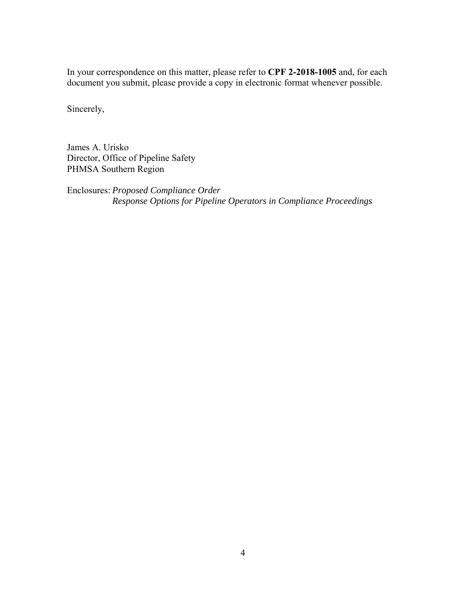In your correspondence on this matter, please refer to **CPF 2-2018-1005** and, for each document you submit, please provide a copy in electronic format whenever possible.

Sincerely,

James A. Urisko Director, Office of Pipeline Safety PHMSA Southern Region

Enclosures: *Proposed Compliance Order Response Options for Pipeline Operators in Compliance Proceedings*